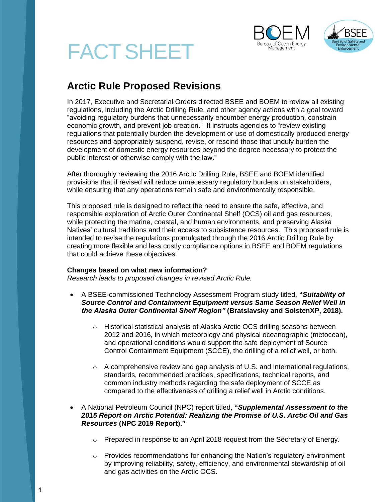





# **Arctic Rule Proposed Revisions**

In 2017, Executive and Secretarial Orders directed BSEE and BOEM to review all existing regulations, including the Arctic Drilling Rule, and other agency actions with a goal toward "avoiding regulatory burdens that unnecessarily encumber energy production, constrain economic growth, and prevent job creation." It instructs agencies to "review existing regulations that potentially burden the development or use of domestically produced energy resources and appropriately suspend, revise, or rescind those that unduly burden the development of domestic energy resources beyond the degree necessary to protect the public interest or otherwise comply with the law."

After thoroughly reviewing the 2016 Arctic Drilling Rule, BSEE and BOEM identified provisions that if revised will reduce unnecessary regulatory burdens on stakeholders, while ensuring that any operations remain safe and environmentally responsible.

This proposed rule is designed to reflect the need to ensure the safe, effective, and responsible exploration of Arctic Outer Continental Shelf (OCS) oil and gas resources, while protecting the marine, coastal, and human environments, and preserving Alaska Natives' cultural traditions and their access to subsistence resources. This proposed rule is intended to revise the regulations promulgated through the 2016 Arctic Drilling Rule by creating more flexible and less costly compliance options in BSEE and BOEM regulations that could achieve these objectives.

# **Changes based on what new information?**

*Research leads to proposed changes in revised Arctic Rule.* 

- A BSEE-commissioned Technology Assessment Program study titled, **"***Suitability of Source Control and Containment Equipment versus Same Season Relief Well in the Alaska Outer Continental Shelf Region"* **(Bratslavsky and SolstenXP, 2018).**
	- o Historical statistical analysis of Alaska Arctic OCS drilling seasons between 2012 and 2016, in which meteorology and physical oceanographic (metocean), and operational conditions would support the safe deployment of Source Control Containment Equipment (SCCE), the drilling of a relief well, or both.
	- $\circ$  A comprehensive review and gap analysis of U.S. and international regulations, standards, recommended practices, specifications, technical reports, and common industry methods regarding the safe deployment of SCCE as compared to the effectiveness of drilling a relief well in Arctic conditions.
- A National Petroleum Council (NPC) report titled, **"***Supplemental Assessment to the 2015 Report on Arctic Potential: Realizing the Promise of U.S. Arctic Oil and Gas Resources* **(NPC 2019 Report)."**
	- $\circ$  Prepared in response to an April 2018 request from the Secretary of Energy.
	- $\circ$  Provides recommendations for enhancing the Nation's regulatory environment by improving reliability, safety, efficiency, and environmental stewardship of oil and gas activities on the Arctic OCS.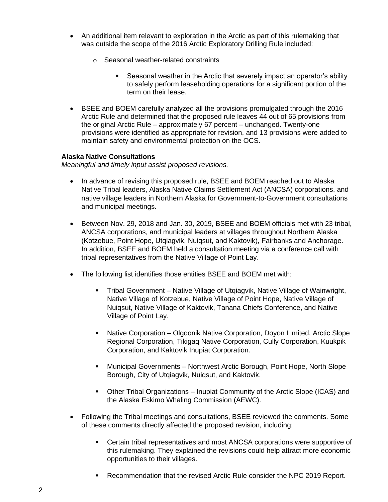- An additional item relevant to exploration in the Arctic as part of this rulemaking that was outside the scope of the 2016 Arctic Exploratory Drilling Rule included:
	- o Seasonal weather-related constraints
		- Seasonal weather in the Arctic that severely impact an operator's ability to safely perform leaseholding operations for a significant portion of the term on their lease.
- BSEE and BOEM carefully analyzed all the provisions promulgated through the 2016 Arctic Rule and determined that the proposed rule leaves 44 out of 65 provisions from the original Arctic Rule – approximately 67 percent – unchanged. Twenty-one provisions were identified as appropriate for revision, and 13 provisions were added to maintain safety and environmental protection on the OCS.

# **Alaska Native Consultations**

*Meaningful and timely input assist proposed revisions.*

- In advance of revising this proposed rule, BSEE and BOEM reached out to Alaska Native Tribal leaders, Alaska Native Claims Settlement Act (ANCSA) corporations, and native village leaders in Northern Alaska for Government-to-Government consultations and municipal meetings.
- Between Nov. 29, 2018 and Jan. 30, 2019, BSEE and BOEM officials met with 23 tribal, ANCSA corporations, and municipal leaders at villages throughout Northern Alaska (Kotzebue, Point Hope, Utqiagvik, Nuiqsut, and Kaktovik), Fairbanks and Anchorage. In addition, BSEE and BOEM held a consultation meeting via a conference call with tribal representatives from the Native Village of Point Lay.
- The following list identifies those entities BSEE and BOEM met with:
	- Tribal Government Native Village of Utqiagvik, Native Village of Wainwright, Native Village of Kotzebue, Native Village of Point Hope, Native Village of Nuiqsut, Native Village of Kaktovik, Tanana Chiefs Conference, and Native Village of Point Lay.
	- **Native Corporation Olgoonik Native Corporation, Doyon Limited, Arctic Slope** Regional Corporation, Tikigaq Native Corporation, Cully Corporation, Kuukpik Corporation, and Kaktovik Inupiat Corporation.
	- Municipal Governments Northwest Arctic Borough, Point Hope, North Slope Borough, City of Utgiagvik, Nuigsut, and Kaktovik.
	- Other Tribal Organizations Inupiat Community of the Arctic Slope (ICAS) and the Alaska Eskimo Whaling Commission (AEWC).
- Following the Tribal meetings and consultations, BSEE reviewed the comments. Some of these comments directly affected the proposed revision, including:
	- Certain tribal representatives and most ANCSA corporations were supportive of this rulemaking. They explained the revisions could help attract more economic opportunities to their villages.
	- Recommendation that the revised Arctic Rule consider the NPC 2019 Report.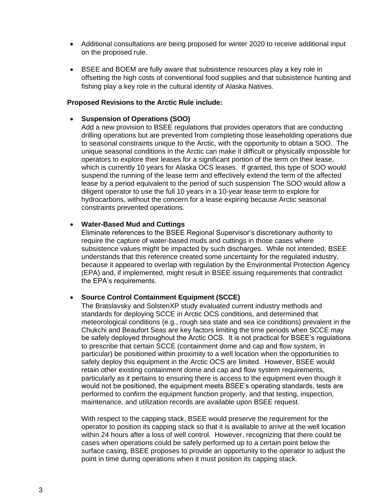- Additional consultations are being proposed for winter 2020 to receive additional input on the proposed rule.
- BSEE and BOEM are fully aware that subsistence resources play a key role in offsetting the high costs of conventional food supplies and that subsistence hunting and fishing play a key role in the cultural identity of Alaska Natives.

## **Proposed Revisions to the Arctic Rule include:**

## • **Suspension of Operations (SOO)**

Add a new provision to BSEE regulations that provides operators that are conducting drilling operations but are prevented from completing those leaseholding operations due to seasonal constraints unique to the Arctic, with the opportunity to obtain a SOO. The unique seasonal conditions in the Arctic can make it difficult or physically impossible for operators to explore their leases for a significant portion of the term on their lease, which is currently 10 years for Alaska OCS leases. If granted, this type of SOO would suspend the running of the lease term and effectively extend the term of the affected lease by a period equivalent to the period of such suspension The SOO would allow a diligent operator to use the full 10 years in a 10-year lease term to explore for hydrocarbons, without the concern for a lease expiring because Arctic seasonal constraints prevented operations.

#### • **Water-Based Mud and Cuttings**

Eliminate references to the BSEE Regional Supervisor's discretionary authority to require the capture of water-based muds and cuttings in those cases where subsistence values might be impacted by such discharges. While not intended, BSEE understands that this reference created some uncertainty for the regulated industry, because it appeared to overlap with regulation by the Environmental Protection Agency (EPA) and, if implemented, might result in BSEE issuing requirements that contradict the EPA's requirements.

# • **Source Control Containment Equipment (SCCE)**

The Bratslavsky and SolstenXP study evaluated current industry methods and standards for deploying SCCE in Arctic OCS conditions, and determined that meteorological conditions (e.g., rough sea state and sea ice conditions) prevalent in the Chukchi and Beaufort Seas are key factors limiting the time periods when SCCE may be safely deployed throughout the Arctic OCS. It is not practical for BSEE's regulations to prescribe that certain SCCE (containment dome and cap and flow system, in particular) be positioned within proximity to a well location when the opportunities to safely deploy this equipment in the Arctic OCS are limited. However, BSEE would retain other existing containment dome and cap and flow system requirements, particularly as it pertains to ensuring there is access to the equipment even though it would not be positioned, the equipment meets BSEE's operating standards, tests are performed to confirm the equipment function properly, and that testing, inspection, maintenance, and utilization records are available upon BSEE request.

With respect to the capping stack, BSEE would preserve the requirement for the operator to position its capping stack so that it is available to arrive at the well location within 24 hours after a loss of well control. However, recognizing that there could be cases when operations could be safely performed up to a certain point below the surface casing, BSEE proposes to provide an opportunity to the operator to adjust the point in time during operations when it must position its capping stack.